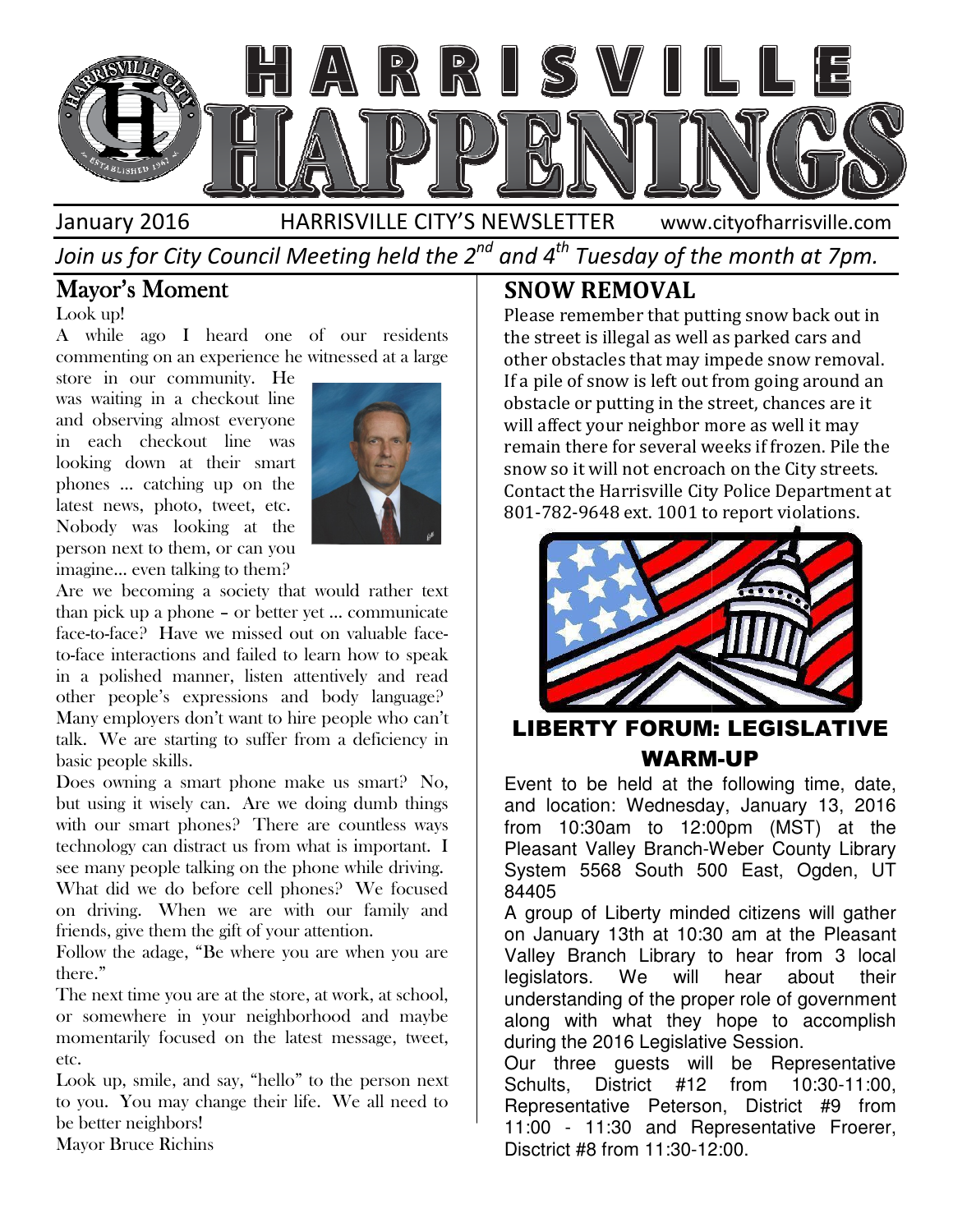

Join us for City Council Meeting held the 2 $^{\mathit{nd}}$  and 4 $^{\mathit{th}}$  Tuesday of the month at 7pm.

## Mayor's Moment

Look up!

A while ago I heard one of our residents commenting on an experience he witnessed at a large

store in our community. He was waiting in a checkout line and observing almost everyone in each checkout line was looking down at their smart phones … catching up on the latest news, photo, tweet, etc. Nobody was looking at the person next to them, or can you imagine… even talking to them?



Are we becoming a society that would rather text than pick up a phone – or better yet … communicate face-to-face? Have we missed out on valuable face to-face interactions and failed to learn how to speak in a polished manner, listen attentively and read other people's expressions and body language? Many employers don't want to hire people who can't talk. We are starting to suffer from a deficiency in basic people skills. rn how to speak<br>ntively and read<br>pody language? the starting to suffer from a deficiency in starting to suffer from a deficiency in sills.<br>a smart phone make us smart? No, **Example the school of the school, of the school, of the school, our community.** The same representation of the school of the particle condition of the school of the particle condition of the school of the school of the s

Does owning a smart phone make us smart? No, but using it wisely can. Are we doing dumb things with our smart phones? There are countless ways technology can distract us from what is important. see many people talking on the phone while driving. What did we do before cell phones? We focused on driving. When we are with our family and friends, give them the gift of your attention. friends, give them the gift of your attention. ely can. Are we doing dumb things<br>phones? There are countless ways<br>distract us from what is important. I

Follow the adage, "Be where you are when you are there."

The next time you are at the store, at work, at school, or somewhere in your neighborhood and maybe momentarily focused on the latest message, tweet, etc.

Look up, smile, and say, "hello" to the person next to you. You may change their life. We all need to be better neighbors!

Mayor Bruce Richins

Please remember that putting snow back out in the street is illegal as well as parked cars and other obstacles that may impede snow removal. If a pile of snow is left out from going around an obstacle or putting in the street, chances are it will affect your neighbor more as well it may remain there for several weeks if frozen. Pile the snow so it will not encroach on the City streets. remain there for several weeks if frozen. Pile the<br>snow so it will not encroach on the City streets.<br>Contact the Harrisville City Police Department at 801-782-9648 ext. 1001 to report violations. 9648 Please remember that putting snow back out<br>the street is illegal as well as parked cars and<br>other obstacles that may impede snow remov<br>If a pile of snow is left out from going around<br>obstacle or putting in the street, chan



#### LIBERTY FORUM: LEGISLATIVE WARM WARM-UP

Event to be held at the following time, date, and location: Wednesday, January 13, 2016 from 10:30am to 12:00pm (MST) at the Pleasant Valley Branch-Weber County Library System 5568 South 500 East, Ogden, UT 84405 Event to be held at the following time, date, and location: Wednesday, January 13, 2016 from 10:30am to 12:00pm (MST) at the Pleasant Valley Branch-Weber County Library System 5568 South 500 East, Ogden, UT 84405<br>A group o

A group of Liberty minded citizens will gather on January 13th at 10:30 am at the Pleasant Valley Branch Library to hear from 3 local legislators. We will hear about their understanding of the proper ro along with what they hope to accomplish during the 2016 Legislative Session.

Our three guests will be Representative Schults, District #12 from 10:30-11:00. Representative Peterson, District #9 from 11:00 - 11:30 and Representative Froerer, Froerer, 12:00.Disctrict #8 from 11:30-12:00. with what they hope to accomplish<br>the 2016 Legislative Session.<br>rree guests will be Representative<br>, District #12 from 10:30-11:00,